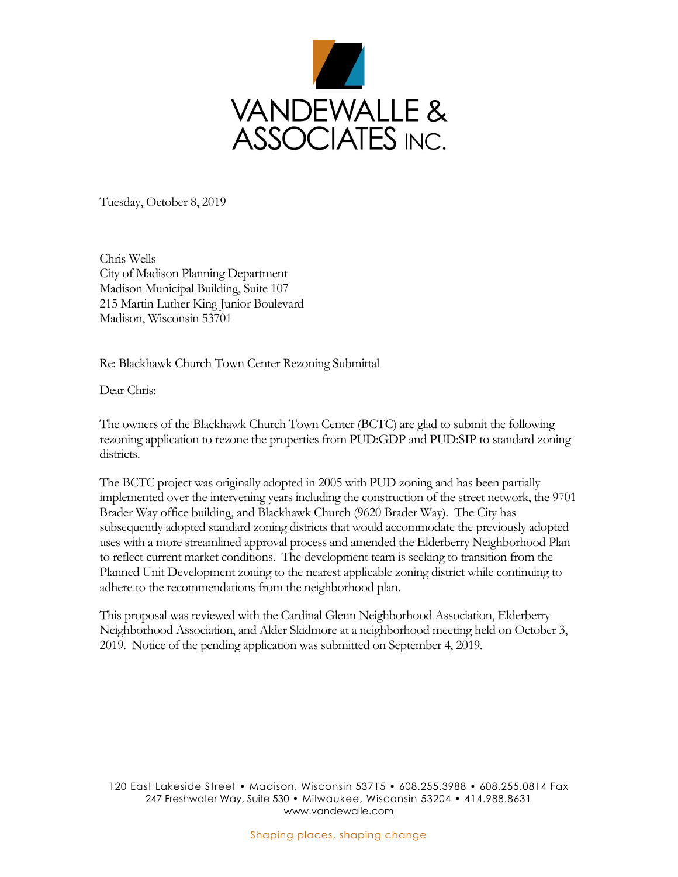

Tuesday, October 8, 2019

Chris Wells City of Madison Planning Department Madison Municipal Building, Suite 107 215 Martin Luther King Junior Boulevard Madison, Wisconsin 53701

Re: Blackhawk Church Town Center Rezoning Submittal

Dear Chris:

The owners of the Blackhawk Church Town Center (BCTC) are glad to submit the following rezoning application to rezone the properties from PUD:GDP and PUD:SIP to standard zoning districts.

The BCTC project was originally adopted in 2005 with PUD zoning and has been partially implemented over the intervening years including the construction of the street network, the 9701 Brader Way office building, and Blackhawk Church (9620 Brader Way). The City has subsequently adopted standard zoning districts that would accommodate the previously adopted uses with a more streamlined approval process and amended the Elderberry Neighborhood Plan to reflect current market conditions. The development team is seeking to transition from the Planned Unit Development zoning to the nearest applicable zoning district while continuing to adhere to the recommendations from the neighborhood plan.

This proposal was reviewed with the Cardinal Glenn Neighborhood Association, Elderberry Neighborhood Association, and Alder Skidmore at a neighborhood meeting held on October 3, 2019. Notice of the pending application was submitted on September 4, 2019.

120 East Lakeside Street • Madison, Wisconsin 53715 • 608.255.3988 • 608.255.0814 Fax 247 Freshwater Way, Suite 530 • Milwaukee, Wisconsin 53204 • 414.988.8631 www.vandewalle.com